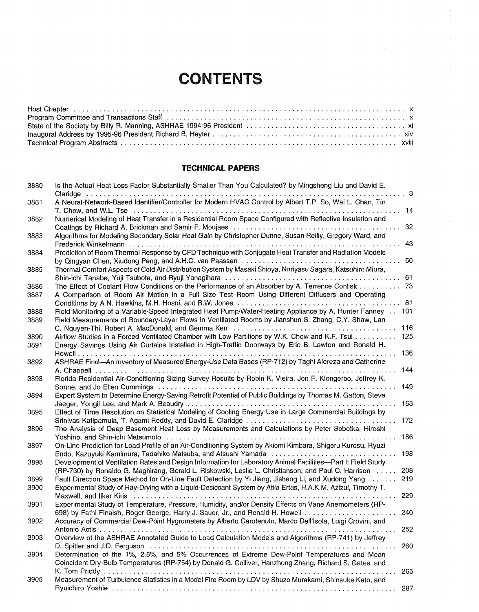## **CONTENTS**

## **TECHNICAL PAPERS**

| 3880 | Is the Actual Heat Loss Factor Substantially Smaller Than You Calculated? by Mingsheng Liu and David E.<br>Claridge                                                                                                                                                                                                                                                                                                                                                                                                                                                                                                      | . 3 |
|------|--------------------------------------------------------------------------------------------------------------------------------------------------------------------------------------------------------------------------------------------------------------------------------------------------------------------------------------------------------------------------------------------------------------------------------------------------------------------------------------------------------------------------------------------------------------------------------------------------------------------------|-----|
| 3881 | A Neural-Network-Based Identifier/Controller for Modern HVAC Control by Albert T.P. So, Wai L. Chan, Tin                                                                                                                                                                                                                                                                                                                                                                                                                                                                                                                 |     |
|      |                                                                                                                                                                                                                                                                                                                                                                                                                                                                                                                                                                                                                          | 14  |
| 3882 | Numerical Modeling of Heat Transfer in a Residential Room Space Configured with Reflective Insulation and                                                                                                                                                                                                                                                                                                                                                                                                                                                                                                                | 32  |
| 3883 | Algorithms for Modeling Secondary Solar Heat Gain by Christopher Dunne, Susan Reilly, Gregory Ward, and<br>.                                                                                                                                                                                                                                                                                                                                                                                                                                                                                                             | 43  |
| 3884 | Prediction of Room Thermal Response by CFD Technique with Conjugate Heat Transfer and Radiation Models                                                                                                                                                                                                                                                                                                                                                                                                                                                                                                                   |     |
| 3885 | Thermal Comfort Aspects of Cold Air Distribution System by Masaki Shioya, Noriyasu Sagara, Katsuhiro Miura,                                                                                                                                                                                                                                                                                                                                                                                                                                                                                                              | 50  |
|      |                                                                                                                                                                                                                                                                                                                                                                                                                                                                                                                                                                                                                          | 61  |
| 3886 | The Effect of Coolant Flow Conditions on the Performance of an Absorber by A. Terrence Conlisk 73                                                                                                                                                                                                                                                                                                                                                                                                                                                                                                                        |     |
| 3887 | A Comparison of Room Air Motion in a Full Size Test Room Using Different Diffusers and Operating                                                                                                                                                                                                                                                                                                                                                                                                                                                                                                                         | 81  |
| 3888 | Field Monitoring of a Variable-Speed Integrated Heat Pump/Water-Heating Appliance by A. Hunter Fanney                                                                                                                                                                                                                                                                                                                                                                                                                                                                                                                    | 101 |
| 3889 | Field Measurements of Boundary-Layer Flows in Ventilated Rooms by Jianshun S. Zhang, C.Y. Shaw, Lan                                                                                                                                                                                                                                                                                                                                                                                                                                                                                                                      |     |
|      |                                                                                                                                                                                                                                                                                                                                                                                                                                                                                                                                                                                                                          | 116 |
| 3890 | Airflow Studies in a Forced Ventilated Chamber with Low Partitions by W.K. Chow and K.F. Tsui                                                                                                                                                                                                                                                                                                                                                                                                                                                                                                                            | 125 |
| 3891 | Energy Savings Using Air Curtains Installed in High-Traffic Doorways by Eric B. Lawton and Ronald H.<br>$\mathbf{1} \times \mathbf{1} \times \mathbf{1} \times \mathbf{1} \times \mathbf{1} \times \mathbf{1} \times \mathbf{1} \times \mathbf{1} \times \mathbf{1} \times \mathbf{1} \times \mathbf{1} \times \mathbf{1} \times \mathbf{1} \times \mathbf{1} \times \mathbf{1} \times \mathbf{1} \times \mathbf{1} \times \mathbf{1} \times \mathbf{1} \times \mathbf{1} \times \mathbf{1} \times \mathbf{1} \times \mathbf{1} \times \mathbf{1} \times \mathbf{1} \times \mathbf{1} \times \mathbf{1} \times \mathbf{$ | 136 |
| 3892 | ASHRAE Find-An Inventory of Measured Energy-Use Data Bases (RP-712) by Taghi Alereza and Catherine                                                                                                                                                                                                                                                                                                                                                                                                                                                                                                                       |     |
|      |                                                                                                                                                                                                                                                                                                                                                                                                                                                                                                                                                                                                                          | 144 |
| 3893 | Florida Residential Air-Conditioning Sizing Survey Results by Robin K. Vieira, Jon F. Klongerbo, Jeffrey K.                                                                                                                                                                                                                                                                                                                                                                                                                                                                                                              |     |
|      |                                                                                                                                                                                                                                                                                                                                                                                                                                                                                                                                                                                                                          | 149 |
| 3894 | Expert System to Determine Energy-Saving Retrofit Potential of Public Buildings by Thomas M. Gatton, Steve                                                                                                                                                                                                                                                                                                                                                                                                                                                                                                               |     |
|      |                                                                                                                                                                                                                                                                                                                                                                                                                                                                                                                                                                                                                          | 163 |
| 3895 | Effect of Time Resolution on Statistical Modeling of Cooling Energy Use in Large Commercial Buildings by                                                                                                                                                                                                                                                                                                                                                                                                                                                                                                                 |     |
|      |                                                                                                                                                                                                                                                                                                                                                                                                                                                                                                                                                                                                                          | 172 |
| 3896 | The Analysis of Deep Basement Heat Loss by Measurements and Calculations by Peter Sobotka, Hiroshi                                                                                                                                                                                                                                                                                                                                                                                                                                                                                                                       | 186 |
| 3897 | On-Line Prediction for Load Profile of an Air-Conditioning System by Akiomi Kimbara, Shigeru Kurosu, Ryuzi                                                                                                                                                                                                                                                                                                                                                                                                                                                                                                               |     |
|      |                                                                                                                                                                                                                                                                                                                                                                                                                                                                                                                                                                                                                          | 198 |
| 3898 | Development of Ventilation Rates and Design Information for Laboratory Animal Facilities—Part I: Field Study<br>(RP-730) by Ronaldo G. Maghirang, Gerald L. Riskowski, Leslie L. Christianson, and Paul C. Harrison                                                                                                                                                                                                                                                                                                                                                                                                      | 208 |
| 3899 | Fault Direction Space Method for On-Line Fault Detection by Yi Jiang, Jisheng Li, and Xudong Yang                                                                                                                                                                                                                                                                                                                                                                                                                                                                                                                        | 219 |
| 3900 | Experimental Study of Hay-Drying with a Liquid-Desiccant System by Atila Ertas, H.A.K.M. Azizul, Timothy T.                                                                                                                                                                                                                                                                                                                                                                                                                                                                                                              |     |
|      |                                                                                                                                                                                                                                                                                                                                                                                                                                                                                                                                                                                                                          | 229 |
| 3901 | Experimental Study of Temperature, Pressure, Humidity, and/or Density Effects on Vane Anemometers (RP-                                                                                                                                                                                                                                                                                                                                                                                                                                                                                                                   |     |
|      | 698) by Fathi Finaish, Roger George, Harry J. Sauer, Jr., and Ronald H. Howell                                                                                                                                                                                                                                                                                                                                                                                                                                                                                                                                           | 240 |
| 3902 | Accuracy of Commercial Dew-Point Hygrometers by Alberto Carotenuto, Marco Dell'Isola, Luigi Crovini, and                                                                                                                                                                                                                                                                                                                                                                                                                                                                                                                 |     |
|      |                                                                                                                                                                                                                                                                                                                                                                                                                                                                                                                                                                                                                          | 252 |
| 3903 | Overview of the ASHRAE Annotated Guide to Load Calculation Models and Algorithms (RP-741) by Jeffrey                                                                                                                                                                                                                                                                                                                                                                                                                                                                                                                     |     |
|      |                                                                                                                                                                                                                                                                                                                                                                                                                                                                                                                                                                                                                          | 260 |
|      | Determination of the 1%, 2.5%, and 5% Occurrences of Extreme Dew-Point Temperatures and Mean                                                                                                                                                                                                                                                                                                                                                                                                                                                                                                                             |     |
| 3904 |                                                                                                                                                                                                                                                                                                                                                                                                                                                                                                                                                                                                                          |     |
|      | Coincident Dry-Bulb Temperatures (RP-754) by Donald G. Colliver, Hanzhong Zhang, Richard S. Gates, and                                                                                                                                                                                                                                                                                                                                                                                                                                                                                                                   |     |
|      |                                                                                                                                                                                                                                                                                                                                                                                                                                                                                                                                                                                                                          | 265 |
| 3905 | Measurement of Turbulence Statistics in a Model Fire Room by LDV by Shuzo Murakami, Shinsuke Kato, and                                                                                                                                                                                                                                                                                                                                                                                                                                                                                                                   |     |
|      |                                                                                                                                                                                                                                                                                                                                                                                                                                                                                                                                                                                                                          | 287 |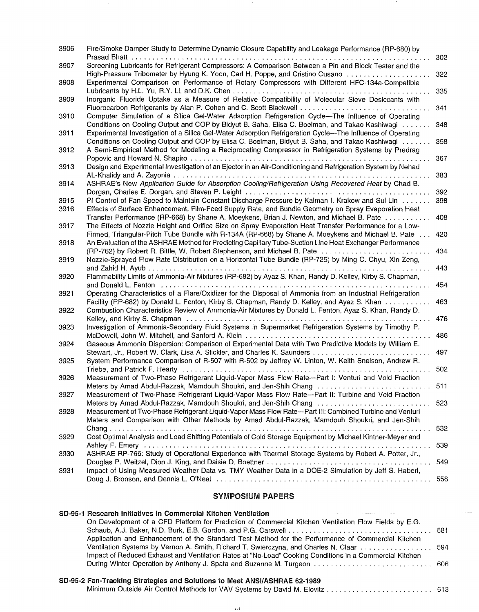| 3906         | Fire/Smoke Damper Study to Determine Dynamic Closure Capability and Leakage Performance (RP-680) by<br>Prasad Bhatt                                                                                                  | 302 |
|--------------|----------------------------------------------------------------------------------------------------------------------------------------------------------------------------------------------------------------------|-----|
| 3907         | Screening Lubricants for Refrigerant Compressors: A Comparison Between a Pin and Block Tester and the<br>High-Pressure Tribometer by Hyung K. Yoon, Carl H. Poppe, and Cristino Cusano contract contract contract of | 322 |
| 3908         | Experimental Comparison on Performance of Rotary Compressors with Different HFC-134a-Compatible                                                                                                                      | 335 |
| 3909         | Inorganic Fluoride Uptake as a Measure of Relative Compatibility of Molecular Sieve Desiccants with                                                                                                                  | 341 |
| 3910         | Computer Simulation of a Silica Gel-Water Adsorption Refrigeration Cycle-The Influence of Operating                                                                                                                  |     |
| 3911         | Conditions on Cooling Output and COP by Bidyut B. Saha, Elisa C. Boelman, and Takao Kashiwagi<br>Experimental Investigation of a Silica Gel-Water Adsorption Refrigeration Cycle—The Influence of Operating          | 348 |
| 3912         | Conditions on Cooling Output and COP by Elisa C. Boelman, Bidyut B. Saha, and Takao Kashiwagi<br>A Semi-Empirical Method for Modeling a Reciprocating Compressor in Refrigeration Systems by Predrag                 | 358 |
| 3913         | Design and Experimental Investigation of an Ejector in an Air-Conditioning and Refrigeration System by Nehad                                                                                                         | 367 |
| 3914         | ASHRAE's New Application Guide for Absorption Cooling/Refrigeration Using Recovered Heat by Chad B.                                                                                                                  | 383 |
|              | PI Control of Fan Speed to Maintain Constant Discharge Pressure by Kalman I. Krakow and Sui Lin                                                                                                                      | 392 |
| 3915<br>3916 | Effects of Surface Enhancement, Film-Feed Supply Rate, and Bundle Geometry on Spray Evaporation Heat                                                                                                                 | 398 |
| 3917         | Transfer Performance (RP-668) by Shane A. Moeykens, Brian J. Newton, and Michael B. Pate<br>The Effects of Nozzle Height and Orifice Size on Spray Evaporation Heat Transfer Performance for a Low-                  | 408 |
| 3918         | Finned, Triangular-Pitch Tube Bundle with R-134A (RP-668) by Shane A. Moeykens and Michael B. Pate.<br>An Evaluation of the ASHRAE Method for Predicting Capillary Tube-Suction Line Heat Exchanger Performance      | 420 |
|              | (RP-762) by Robert R. Bittle, W. Robert Stephenson, and Michael B. Pate                                                                                                                                              | 434 |
| 3919         | Nozzle-Sprayed Flow Rate Distribution on a Horizontal Tube Bundle (RP-725) by Ming C. Chyu, Xin Zeng,                                                                                                                | 443 |
| 3920         | Flammability Limits of Ammonia-Air Mixtures (RP-682) by Ayaz S. Khan, Randy D. Kelley, Kirby S. Chapman,<br>and Donald L. Fenton                                                                                     | 454 |
| 3921         | Operating Characteristics of a Flare/Oxidizer for the Disposal of Ammonia from an Industrial Refrigeration<br>Facility (RP-682) by Donald L. Fenton, Kirby S. Chapman, Randy D. Kelley, and Ayaz S. Khan             | 463 |
| 3922         | Combustion Characteristics Review of Ammonia-Air Mixtures by Donald L. Fenton, Ayaz S. Khan, Randy D.                                                                                                                | 476 |
| 3923         | Investigation of Ammonia-Secondary Fluid Systems in Supermarket Refrigeration Systems by Timothy P.                                                                                                                  | 486 |
| 3924         | Gaseous Ammonia Dispersion: Comparison of Experimental Data with Two Predictive Models by William E.                                                                                                                 | 497 |
| 3925         | System Performance Comparison of R-507 with R-502 by Jeffrey W. Linton, W. Keith Snelson, Andrew R.                                                                                                                  |     |
| 3926         | Triebe, and Patrick F. Hearty<br>Measurement of Two-Phase Refrigerant Liquid-Vapor Mass Flow Rate--Part I: Venturi and Void Fraction                                                                                 | 502 |
| 3927         | Meters by Amad Abdul-Razzak, Mamdouh Shoukri, and Jen-Shih Chang  511<br>Measurement of Two-Phase Refrigerant Liquid-Vapor Mass Flow Rate--Part II: Turbine and Void Fraction                                        |     |
| 3928         | Meters by Amad Abdul-Razzak, Mamdouh Shoukri, and Jen-Shih Chang<br>Measurement of Two-Phase Refrigerant Liquid-Vapor Mass Flow Rate-Part III: Combined Turbine and Venturi                                          | 523 |
|              | Meters and Comparison with Other Methods by Amad Abdul-Razzak, Mamdouh Shoukri, and Jen-Shih                                                                                                                         | 532 |
| 3929         | Cost Optimal Analysis and Load Shifting Potentials of Cold Storage Equipment by Michael Kintner-Meyer and                                                                                                            |     |
| 3930         | ASHRAE RP-766: Study of Operational Experience with Thermal Storage Systems by Robert A. Potter, Jr.,                                                                                                                | 539 |
| 3931         | Impact of Using Measured Weather Data vs. TMY Weather Data in a DOE-2 Simulation by Jeff S. Haberl,                                                                                                                  | 549 |
|              |                                                                                                                                                                                                                      | 558 |

## **SYMPOSIUM PAPERS**

| SD-95-1 Research Initiatives in Commercial Kitchen Ventilation                                          |  |
|---------------------------------------------------------------------------------------------------------|--|
| On Development of a CFD Platform for Prediction of Commercial Kitchen Ventilation Flow Fields by E.G.   |  |
|                                                                                                         |  |
| Application and Enhancement of the Standard Test Method for the Performance of Commercial Kitchen       |  |
| Ventilation Systems by Vernon A. Smith, Richard T. Swierczyna, and Charles N. Claar  594                |  |
| Impact of Reduced Exhaust and Ventilation Rates at "No-Load" Cooking Conditions in a Commercial Kitchen |  |
| During Winter Operation by Anthony J. Spata and Suzanne M. Turgeon  606                                 |  |

## **SD-95-2 Fan-Tracking Strategies and Solutions to Meet ANSI/ASHRAE 62-1989**

Minimum Outside Air Control Methods for VAV Systems by David M~ Elovitz ......................... 613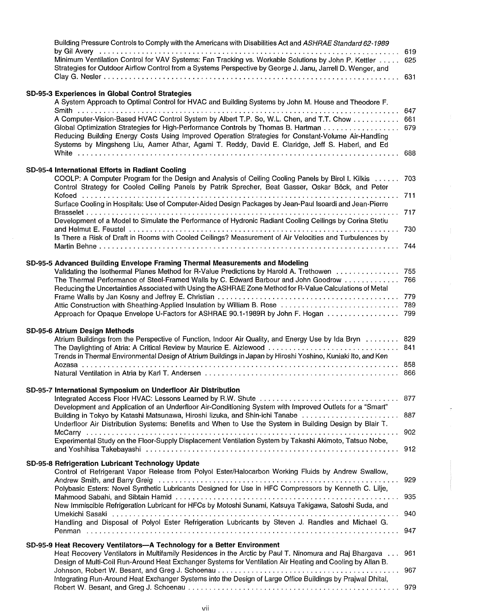| Building Pressure Controls to Comply with the Americans with Disabilities Act and ASHRAE Standard 62-1989                                                                                                                                                                                                                                                                               |                   |
|-----------------------------------------------------------------------------------------------------------------------------------------------------------------------------------------------------------------------------------------------------------------------------------------------------------------------------------------------------------------------------------------|-------------------|
| Minimum Ventilation Control for VAV Systems: Fan Tracking vs. Workable Solutions by John P. Kettler<br>Strategies for Outdoor Airflow Control from a Systems Perspective by George J. Janu, Jarrell D. Wenger, and                                                                                                                                                                      | 619<br>625        |
|                                                                                                                                                                                                                                                                                                                                                                                         | 631               |
| SD-95-3 Experiences in Global Control Strategies                                                                                                                                                                                                                                                                                                                                        |                   |
| A System Approach to Optimal Control for HVAC and Building Systems by John M. House and Theodore F.                                                                                                                                                                                                                                                                                     |                   |
| A Computer-Vision-Based HVAC Control System by Albert T.P. So, W.L. Chen, and T.T. Chow<br>Global Optimization Strategies for High-Performance Controls by Thomas B. Hartman<br>Reducing Building Energy Costs Using Improved Operation Strategies for Constant-Volume Air-Handling<br>Systems by Mingsheng Liu, Aamer Athar, Agami T. Reddy, David E. Claridge, Jeff S. Haberl, and Ed | 647<br>661<br>679 |
|                                                                                                                                                                                                                                                                                                                                                                                         | 688               |
| SD-95-4 International Efforts in Radiant Cooling                                                                                                                                                                                                                                                                                                                                        |                   |
| COOLP: A Computer Program for the Design and Analysis of Ceiling Cooling Panels by Birol I. Kilkis<br>Control Strategy for Cooled Ceiling Panels by Patrik Sprecher, Beat Gasser, Oskar Böck, and Peter                                                                                                                                                                                 | 703               |
| Surface Cooling in Hospitals: Use of Computer-Aided Design Packages by Jean-Paul Isoardi and Jean-Pierre                                                                                                                                                                                                                                                                                | 711<br>717        |
| Development of a Model to Simulate the Performance of Hydronic Radiant Cooling Ceilings by Corina Stetiu                                                                                                                                                                                                                                                                                | 730               |
| Is There a Risk of Draft in Rooms with Cooled Ceilings? Measurement of Air Velocities and Turbulences by                                                                                                                                                                                                                                                                                | 744               |
| SD-95-5 Advanced Building Envelope Framing Thermal Measurements and Modeling                                                                                                                                                                                                                                                                                                            |                   |
| Validating the Isothermal Planes Method for R-Value Predictions by Harold A. Trethowen 755<br>The Thermal Performance of Steel-Framed Walls by C. Edward Barbour and John Goodrow  766                                                                                                                                                                                                  |                   |
| Reducing the Uncertainties Associated with Using the ASHRAE Zone Method for R-Value Calculations of Metal                                                                                                                                                                                                                                                                               |                   |
|                                                                                                                                                                                                                                                                                                                                                                                         |                   |
| SD-95-6 Atrium Design Methods                                                                                                                                                                                                                                                                                                                                                           |                   |
| Atrium Buildings from the Perspective of Function, Indoor Air Quality, and Energy Use by Ida Bryn  829<br>The Daylighting of Atria: A Critical Review by Maurice E. Aizlewood<br>Trends in Thermal Environmental Design of Atrium Buildings in Japan by Hiroshi Yoshino, Kuniaki Ito, and Ken                                                                                           | 841               |
|                                                                                                                                                                                                                                                                                                                                                                                         |                   |
| SD-95-7 International Symposium on Underfloor Air Distribution                                                                                                                                                                                                                                                                                                                          |                   |
| Development and Application of an Underfloor Air-Conditioning System with Improved Outlets for a "Smart"<br>Building in Tokyo by Katashi Matsunawa, Hiroshi lizuka, and Shin-ichi Tanabe  887                                                                                                                                                                                           |                   |
| Underfloor Air Distribution Systems: Benefits and When to Use the System in Building Design by Blair T.                                                                                                                                                                                                                                                                                 |                   |
| Experimental Study on the Floor-Supply Displacement Ventilation System by Takashi Akimoto, Tatsuo Nobe,                                                                                                                                                                                                                                                                                 |                   |
| SD-95-8 Refrigeration Lubricant Technology Update                                                                                                                                                                                                                                                                                                                                       |                   |
| Control of Refrigerant Vapor Release from Polyol Ester/Halocarbon Working Fluids by Andrew Swallow,                                                                                                                                                                                                                                                                                     |                   |
| Andrew Smith, and Barry Greig (and accommodation of the contract of the contract of the Andrew Smith, and Barry Greig (and accommodation of the contract of the Smith Smith Smith Smith Smith Smith Smith Smith Smith Smith Sm<br>Polybasic Esters: Novel Synthetic Lubricants Designed for Use in HFC Compressors by Kenneth C. Lilje,                                                 | 929               |
| New Immiscible Refrigeration Lubricant for HFCs by Motoshi Sunami, Katsuya Takigawa, Satoshi Suda, and                                                                                                                                                                                                                                                                                  | 935               |
| Handling and Disposal of Polyol Ester Refrigeration Lubricants by Steven J. Randles and Michael G.                                                                                                                                                                                                                                                                                      | 940               |
|                                                                                                                                                                                                                                                                                                                                                                                         |                   |
| SD-95-9 Heat Recovery Ventilators-A Technology for a Better Environment<br>Heat Recovery Ventilators in Multifamily Residences in the Arctic by Paul T. Ninomura and Raj Bhargava  961<br>Design of Multi-Coil Run-Around Heat Exchanger Systems for Ventilation Air Heating and Cooling by Allan B.                                                                                    |                   |
|                                                                                                                                                                                                                                                                                                                                                                                         |                   |
| Integrating Run-Around Heat Exchanger Systems into the Design of Large Office Buildings by Praiwal Dhital,                                                                                                                                                                                                                                                                              |                   |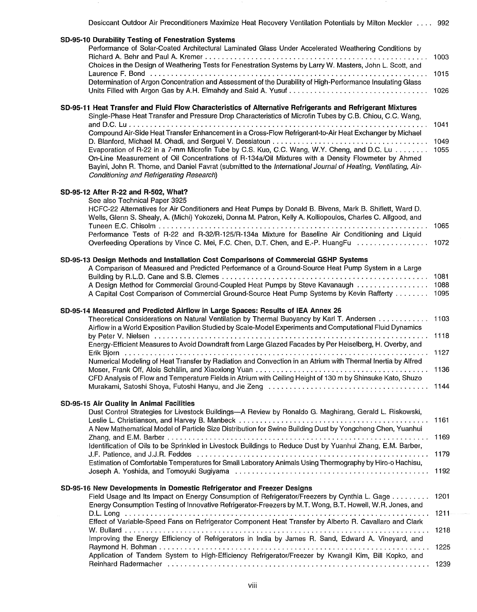| Desiccant Outdoor Air Preconditioners Maximize Heat Recovery Ventilation Potentials by Milton Meckler 992                                                                                                                                                                                                                                                                                                                                                                                                                                                                                                                                                                                                                                              |                                  |
|--------------------------------------------------------------------------------------------------------------------------------------------------------------------------------------------------------------------------------------------------------------------------------------------------------------------------------------------------------------------------------------------------------------------------------------------------------------------------------------------------------------------------------------------------------------------------------------------------------------------------------------------------------------------------------------------------------------------------------------------------------|----------------------------------|
| SD-95-10 Durability Testing of Fenestration Systems<br>Performance of Solar-Coated Architectural Laminated Glass Under Accelerated Weathering Conditions by<br>Choices in the Design of Weathering Tests for Fenestration Systems by Larry W. Masters, John L. Scott, and<br>Determination of Argon Concentration and Assessment of the Durability of High-Performance Insulating Glass                                                                                                                                                                                                                                                                                                                                                                | 1003<br>1015<br>1026             |
| SD-95-11 Heat Transfer and Fluid Flow Characteristics of Alternative Refrigerants and Refrigerant Mixtures<br>Single-Phase Heat Transfer and Pressure Drop Characteristics of Microfin Tubes by C.B. Chiou, C.C. Wang,<br>Compound Air-Side Heat Transfer Enhancement in a Cross-Flow Refrigerant-to-Air Heat Exchanger by Michael<br>Evaporation of R-22 in a 7-mm Microfin Tube by C.S. Kuo, C.C. Wang, W.Y. Cheng, and D.C. Lu<br>On-Line Measurement of Oil Concentrations of R-134a/Oil Mixtures with a Density Flowmeter by Ahmed<br>Bayini, John R. Thome, and Daniel Favrat (submitted to the International Journal of Heating, Ventilating, Air-<br>Conditioning and Refrigerating Research)                                                  | 1041<br>1049<br>1055             |
| SD-95-12 After R-22 and R-502, What?<br>See also Technical Paper 3925<br>HCFC-22 Alternatives for Air Conditioners and Heat Pumps by Donald B. Bivens, Mark B. Shiflett, Ward D.<br>Wells, Glenn S. Shealy, A. (Michi) Yokozeki, Donna M. Patron, Kelly A. Kolliopoulos, Charles C. Allgood, and<br>Performance Tests of R-22 and R-32/R-125/R-134a Mixture for Baseline Air Conditioning and Liquid<br>Overfeeding Operations by Vince C. Mei, F.C. Chen, D.T. Chen, and E.-P. HuangFu  1072                                                                                                                                                                                                                                                          |                                  |
| SD-95-13 Design Methods and Installation Cost Comparisons of Commercial GSHP Systems<br>A Comparison of Measured and Predicted Performance of a Ground-Source Heat Pump System in a Large<br>A Design Method for Commercial Ground-Coupled Heat Pumps by Steve Kavanaugh<br>A Capital Cost Comparison of Commercial Ground-Source Heat Pump Systems by Kevin Rafferty                                                                                                                                                                                                                                                                                                                                                                                  | 1081<br>1088<br>1095             |
| SD-95-14 Measured and Predicted Airflow in Large Spaces: Results of IEA Annex 26<br>Theoretical Considerations on Natural Ventilation by Thermal Buoyancy by Karl T. Andersen<br>Airflow in a World Exposition Pavilion Studied by Scale-Model Experiments and Computational Fluid Dynamics<br>Energy-Efficient Measures to Avoid Downdraft from Large Glazed Facades by Per Heiselberg, H. Overby, and<br>Erik Bjorn (1999) 1997 (1997) 1997 (1998) 1997 (1998) 1998 (1999) 1999 (1999) 1999 (1999) 1999 (1999) 1999 (19<br>Numerical Modeling of Heat Transfer by Radiation and Convection in an Atrium with Thermal Inertia by Alfred<br>CFD Analysis of Flow and Temperature Fields in Atrium with Ceiling Height of 130 m by Shinsuke Kato, Shuzo | 1103<br>1144                     |
| SD-95-15 Air Quality in Animal Facilities<br>Dust Control Strategies for Livestock Buildings-A Review by Ronaldo G. Maghirang, Gerald L. Riskowski,<br>A New Mathematical Model of Particle Size Distribution for Swine Building Dust by Yongcheng Chen, Yuanhui<br>Identification of Oils to be Sprinkled in Livestock Buildings to Reduce Dust by Yuanhui Zhang, E.M. Barber,<br>Estimation of Comfortable Temperatures for Small Laboratory Animals Using Thermography by Hiro-o Hachisu,                                                                                                                                                                                                                                                           | 1161<br>1169<br>1179<br>1192     |
| SD-95-16 New Developments in Domestic Refrigerator and Freezer Designs<br>Field Usage and Its Impact on Energy Consumption of Refrigerator/Freezers by Cynthia L. Gage<br>Energy Consumption Testing of Innovative Refrigerator-Freezers by M.T. Wong, B.T. Howell, W.R. Jones, and<br>Effect of Variable-Speed Fans on Refrigerator Component Heat Transfer by Alberto R. Cavallaro and Clark<br>Improving the Energy Efficiency of Refrigerators in India by James R. Sand, Edward A. Vineyard, and<br>Application of Tandem System to High-Efficiency Refrigerator/Freezer by Kwangil Kim, Bill Kopko, and                                                                                                                                          | 1201<br>$1211 -$<br>1218<br>1225 |
| Reinhard Radermacher (Although Although Although Although Although Although Although Although Although Although                                                                                                                                                                                                                                                                                                                                                                                                                                                                                                                                                                                                                                        | 1239                             |

 $\sim$